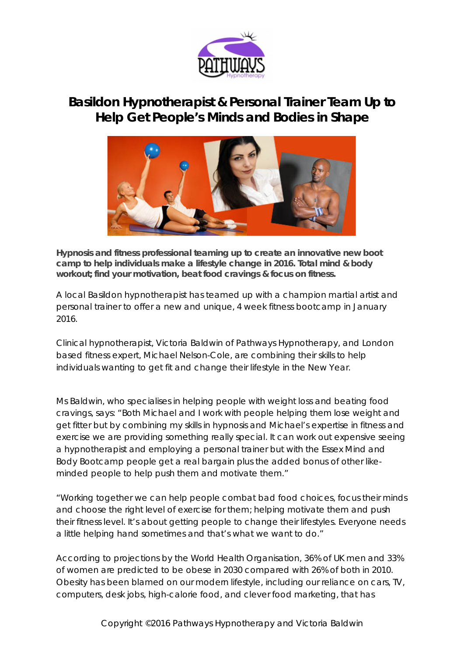

## **Basildon Hypnotherapist & Personal Trainer Team Up to Help Get People's Minds and Bodies in Shape**



**Hypnosis and fitness professional teaming up to create an innovative new boot camp to help individuals make a lifestyle change in 2016. Total mind & body workout; find your motivation, beat food cravings & focus on fitness.**

A local Basildon hypnotherapist has teamed up with a champion martial artist and personal trainer to offer a new and unique, 4 week fitness bootcamp in January 2016.

Clinical hypnotherapist, Victoria Baldwin of Pathways Hypnotherapy, and London based fitness expert, Michael Nelson-Cole, are combining their skills to help individuals wanting to get fit and change their lifestyle in the New Year.

Ms Baldwin, who specialises in helping people with weight loss and beating food cravings, says: "Both Michael and I work with people helping them lose weight and get fitter but by combining my skills in hypnosis and Michael's expertise in fitness and exercise we are providing something really special. It can work out expensive seeing a hypnotherapist and employing a personal trainer but with the Essex Mind and Body Bootcamp people get a real bargain plus the added bonus of other likeminded people to help push them and motivate them."

"Working together we can help people combat bad food choices, focus their minds and choose the right level of exercise for them; helping motivate them and push their fitness level. It's about getting people to change their lifestyles. Everyone needs a little helping hand sometimes and that's what we want to do."

According to projections by the World Health Organisation, 36% of UK men and 33% of women are predicted to be obese in 2030 compared with 26% of both in 2010. Obesity has been blamed on our modern lifestyle, including our reliance on cars, TV, computers, desk jobs, high-calorie food, and clever food marketing, that has